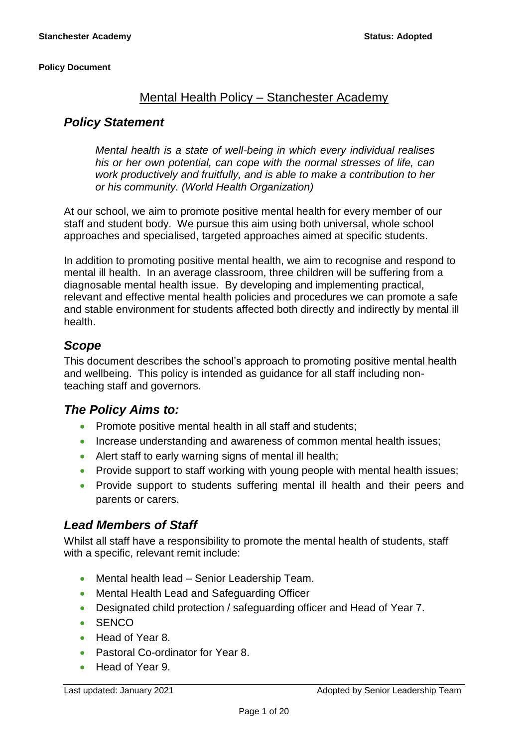# Mental Health Policy – Stanchester Academy

# *Policy Statement*

*Mental health is a state of well-being in which every individual realises his or her own potential, can cope with the normal stresses of life, can work productively and fruitfully, and is able to make a contribution to her or his community. (World Health Organization)*

At our school, we aim to promote positive mental health for every member of our staff and student body. We pursue this aim using both universal, whole school approaches and specialised, targeted approaches aimed at specific students.

In addition to promoting positive mental health, we aim to recognise and respond to mental ill health. In an average classroom, three children will be suffering from a diagnosable mental health issue. By developing and implementing practical, relevant and effective mental health policies and procedures we can promote a safe and stable environment for students affected both directly and indirectly by mental ill health.

# *Scope*

This document describes the school's approach to promoting positive mental health and wellbeing. This policy is intended as guidance for all staff including nonteaching staff and governors.

### *The Policy Aims to:*

- Promote positive mental health in all staff and students;
- Increase understanding and awareness of common mental health issues;
- Alert staff to early warning signs of mental ill health;
- Provide support to staff working with young people with mental health issues;
- Provide support to students suffering mental ill health and their peers and parents or carers.

# *Lead Members of Staff*

Whilst all staff have a responsibility to promote the mental health of students, staff with a specific, relevant remit include:

- Mental health lead Senior Leadership Team.
- Mental Health Lead and Safeguarding Officer
- Designated child protection / safeguarding officer and Head of Year 7.
- SENCO
- Head of Year 8.
- Pastoral Co-ordinator for Year 8.
- Head of Year 9.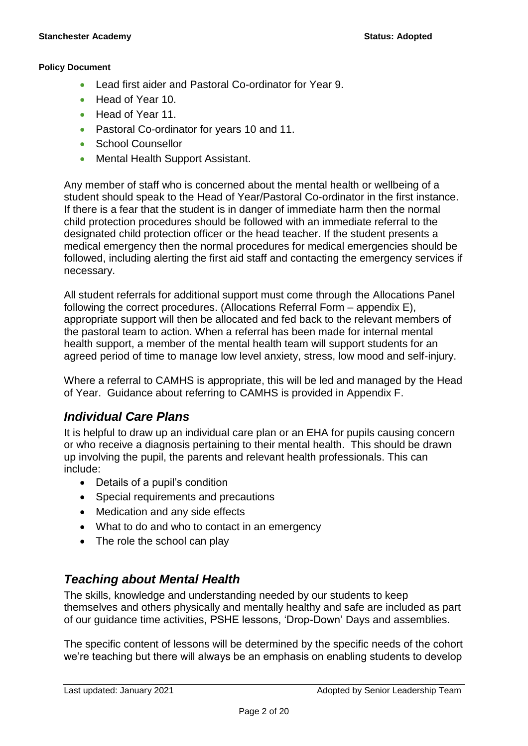- Lead first aider and Pastoral Co-ordinator for Year 9.
- Head of Year 10.
- Head of Year 11.
- Pastoral Co-ordinator for years 10 and 11.
- School Counsellor
- Mental Health Support Assistant.

Any member of staff who is concerned about the mental health or wellbeing of a student should speak to the Head of Year/Pastoral Co-ordinator in the first instance. If there is a fear that the student is in danger of immediate harm then the normal child protection procedures should be followed with an immediate referral to the designated child protection officer or the head teacher. If the student presents a medical emergency then the normal procedures for medical emergencies should be followed, including alerting the first aid staff and contacting the emergency services if necessary.

All student referrals for additional support must come through the Allocations Panel following the correct procedures. (Allocations Referral Form – appendix E), appropriate support will then be allocated and fed back to the relevant members of the pastoral team to action. When a referral has been made for internal mental health support, a member of the mental health team will support students for an agreed period of time to manage low level anxiety, stress, low mood and self-injury.

Where a referral to CAMHS is appropriate, this will be led and managed by the Head of Year. Guidance about referring to CAMHS is provided in Appendix F.

# *Individual Care Plans*

It is helpful to draw up an individual care plan or an EHA for pupils causing concern or who receive a diagnosis pertaining to their mental health. This should be drawn up involving the pupil, the parents and relevant health professionals. This can include:

- Details of a pupil's condition
- Special requirements and precautions
- Medication and any side effects
- What to do and who to contact in an emergency
- The role the school can play

# *Teaching about Mental Health*

The skills, knowledge and understanding needed by our students to keep themselves and others physically and mentally healthy and safe are included as part of our guidance time activities, PSHE lessons, 'Drop-Down' Days and assemblies.

The specific content of lessons will be determined by the specific needs of the cohort we're teaching but there will always be an emphasis on enabling students to develop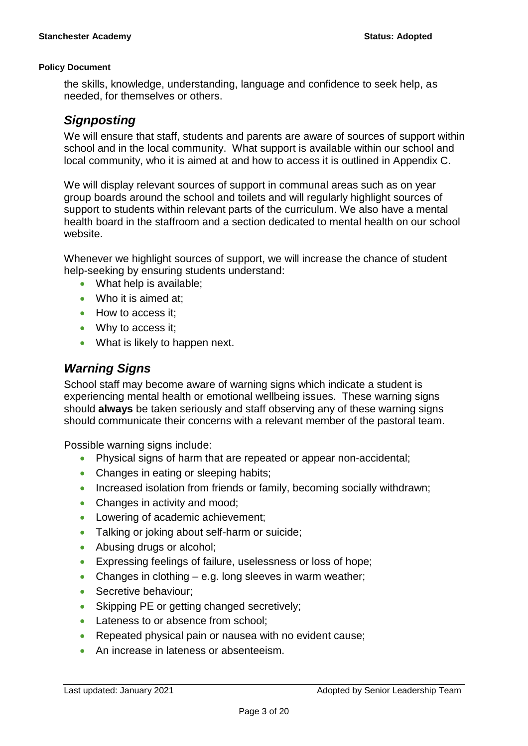the skills, knowledge, understanding, language and confidence to seek help, as needed, for themselves or others.

# *Signposting*

We will ensure that staff, students and parents are aware of sources of support within school and in the local community. What support is available within our school and local community, who it is aimed at and how to access it is outlined in Appendix C.

We will display relevant sources of support in communal areas such as on year group boards around the school and toilets and will regularly highlight sources of support to students within relevant parts of the curriculum. We also have a mental health board in the staffroom and a section dedicated to mental health on our school website.

Whenever we highlight sources of support, we will increase the chance of student help-seeking by ensuring students understand:

- What help is available;
- Who it is aimed at:
- How to access it;
- Why to access it;
- What is likely to happen next.

# *Warning Signs*

School staff may become aware of warning signs which indicate a student is experiencing mental health or emotional wellbeing issues. These warning signs should **always** be taken seriously and staff observing any of these warning signs should communicate their concerns with a relevant member of the pastoral team.

Possible warning signs include:

- Physical signs of harm that are repeated or appear non-accidental;
- Changes in eating or sleeping habits;
- Increased isolation from friends or family, becoming socially withdrawn;
- Changes in activity and mood;
- Lowering of academic achievement;
- Talking or joking about self-harm or suicide;
- Abusing drugs or alcohol;
- **Expressing feelings of failure, uselessness or loss of hope;**
- Changes in clothing e.g. long sleeves in warm weather;
- Secretive behaviour;
- Skipping PE or getting changed secretively;
- Lateness to or absence from school;
- Repeated physical pain or nausea with no evident cause;
- An increase in lateness or absenteeism.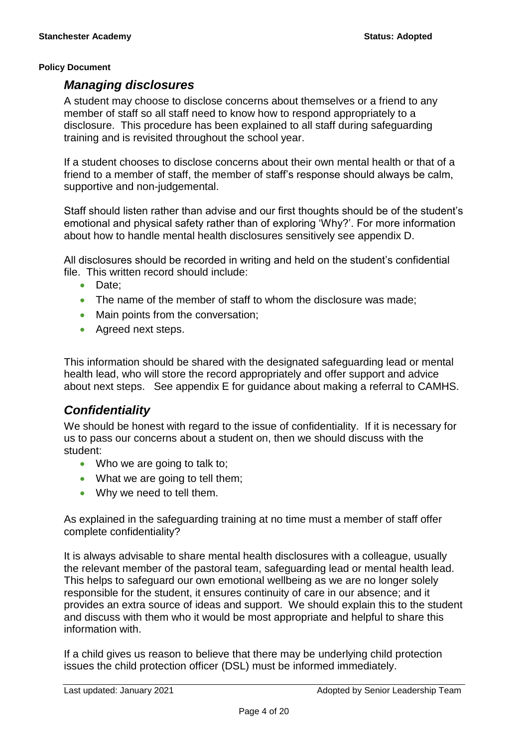### *Managing disclosures*

A student may choose to disclose concerns about themselves or a friend to any member of staff so all staff need to know how to respond appropriately to a disclosure. This procedure has been explained to all staff during safeguarding training and is revisited throughout the school year.

If a student chooses to disclose concerns about their own mental health or that of a friend to a member of staff, the member of staff's response should always be calm, supportive and non-judgemental.

Staff should listen rather than advise and our first thoughts should be of the student's emotional and physical safety rather than of exploring 'Why?'. For more information about how to handle mental health disclosures sensitively see appendix D.

All disclosures should be recorded in writing and held on the student's confidential file. This written record should include:

- Date:
- The name of the member of staff to whom the disclosure was made;
- Main points from the conversation;
- Agreed next steps.

This information should be shared with the designated safeguarding lead or mental health lead, who will store the record appropriately and offer support and advice about next steps. See appendix E for guidance about making a referral to CAMHS.

# *Confidentiality*

We should be honest with regard to the issue of confidentiality. If it is necessary for us to pass our concerns about a student on, then we should discuss with the student:

- Who we are going to talk to:
- What we are going to tell them;
- Why we need to tell them.

As explained in the safeguarding training at no time must a member of staff offer complete confidentiality?

It is always advisable to share mental health disclosures with a colleague, usually the relevant member of the pastoral team, safeguarding lead or mental health lead. This helps to safeguard our own emotional wellbeing as we are no longer solely responsible for the student, it ensures continuity of care in our absence; and it provides an extra source of ideas and support. We should explain this to the student and discuss with them who it would be most appropriate and helpful to share this information with.

If a child gives us reason to believe that there may be underlying child protection issues the child protection officer (DSL) must be informed immediately.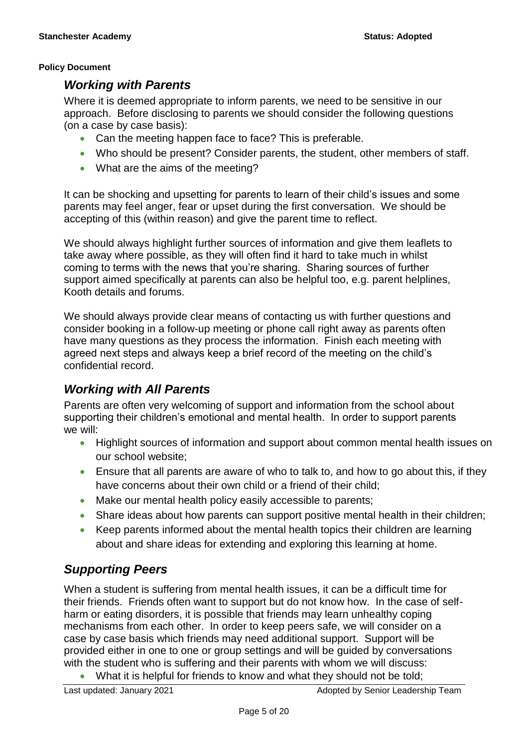### *Working with Parents*

Where it is deemed appropriate to inform parents, we need to be sensitive in our approach. Before disclosing to parents we should consider the following questions (on a case by case basis):

- Can the meeting happen face to face? This is preferable.
- Who should be present? Consider parents, the student, other members of staff.
- What are the aims of the meeting?

It can be shocking and upsetting for parents to learn of their child's issues and some parents may feel anger, fear or upset during the first conversation. We should be accepting of this (within reason) and give the parent time to reflect.

We should always highlight further sources of information and give them leaflets to take away where possible, as they will often find it hard to take much in whilst coming to terms with the news that you're sharing. Sharing sources of further support aimed specifically at parents can also be helpful too, e.g. parent helplines, Kooth details and forums.

We should always provide clear means of contacting us with further questions and consider booking in a follow-up meeting or phone call right away as parents often have many questions as they process the information. Finish each meeting with agreed next steps and always keep a brief record of the meeting on the child's confidential record.

# *Working with All Parents*

Parents are often very welcoming of support and information from the school about supporting their children's emotional and mental health. In order to support parents we will:

- Highlight sources of information and support about common mental health issues on our school website;
- Ensure that all parents are aware of who to talk to, and how to go about this, if they have concerns about their own child or a friend of their child;
- Make our mental health policy easily accessible to parents;
- Share ideas about how parents can support positive mental health in their children;
- Keep parents informed about the mental health topics their children are learning about and share ideas for extending and exploring this learning at home.

# *Supporting Peers*

When a student is suffering from mental health issues, it can be a difficult time for their friends. Friends often want to support but do not know how. In the case of selfharm or eating disorders, it is possible that friends may learn unhealthy coping mechanisms from each other. In order to keep peers safe, we will consider on a case by case basis which friends may need additional support. Support will be provided either in one to one or group settings and will be guided by conversations with the student who is suffering and their parents with whom we will discuss:

What it is helpful for friends to know and what they should not be told;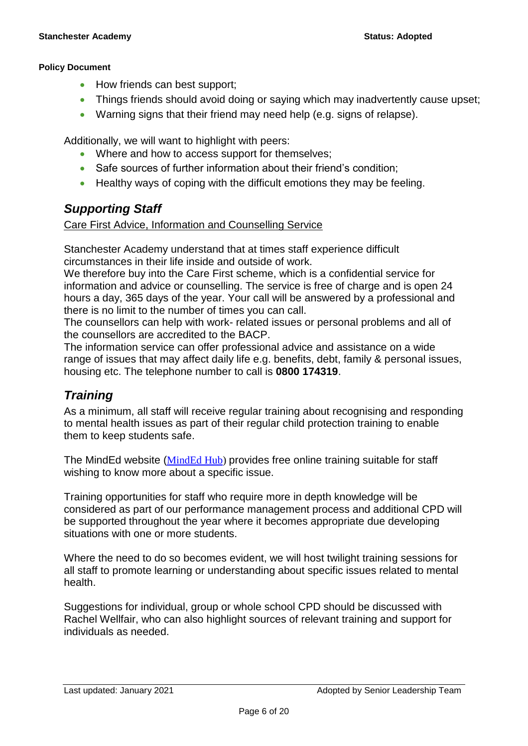- How friends can best support;
- Things friends should avoid doing or saying which may inadvertently cause upset;
- Warning signs that their friend may need help (e.g. signs of relapse).

Additionally, we will want to highlight with peers:

- Where and how to access support for themselves;
- Safe sources of further information about their friend's condition;
- Healthy ways of coping with the difficult emotions they may be feeling.

# *Supporting Staff*

### Care First Advice, Information and Counselling Service

Stanchester Academy understand that at times staff experience difficult circumstances in their life inside and outside of work.

We therefore buy into the Care First scheme, which is a confidential service for information and advice or counselling. The service is free of charge and is open 24 hours a day, 365 days of the year. Your call will be answered by a professional and there is no limit to the number of times you can call.

The counsellors can help with work- related issues or personal problems and all of the counsellors are accredited to the BACP.

The information service can offer professional advice and assistance on a wide range of issues that may affect daily life e.g. benefits, debt, family & personal issues, housing etc. The telephone number to call is **0800 174319**.

# *Training*

As a minimum, all staff will receive regular training about recognising and responding to mental health issues as part of their regular child protection training to enable them to keep students safe.

The MindEd website ([MindEd Hub\)](https://www.minded.org.uk/) provides free online training suitable for staff wishing to know more about a specific issue.

Training opportunities for staff who require more in depth knowledge will be considered as part of our performance management process and additional CPD will be supported throughout the year where it becomes appropriate due developing situations with one or more students.

Where the need to do so becomes evident, we will host twilight training sessions for all staff to promote learning or understanding about specific issues related to mental health.

Suggestions for individual, group or whole school CPD should be discussed with Rachel Wellfair, who can also highlight sources of relevant training and support for individuals as needed.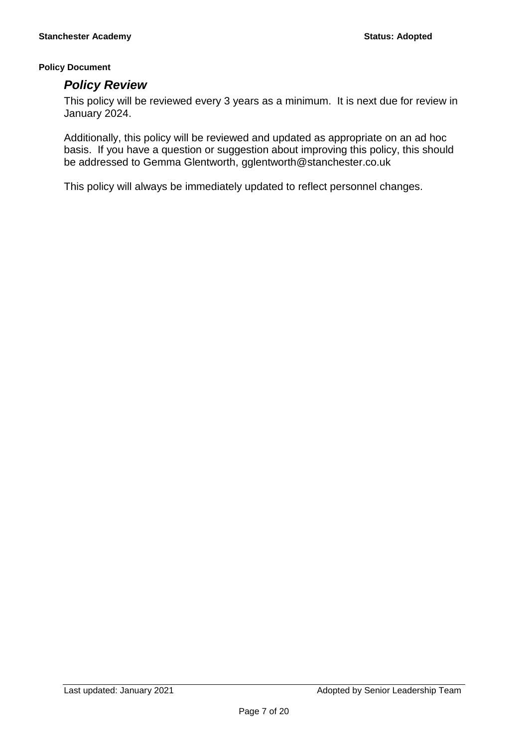### *Policy Review*

This policy will be reviewed every 3 years as a minimum. It is next due for review in January 2024.

Additionally, this policy will be reviewed and updated as appropriate on an ad hoc basis. If you have a question or suggestion about improving this policy, this should be addressed to Gemma Glentworth, gglentworth@stanchester.co.uk

This policy will always be immediately updated to reflect personnel changes.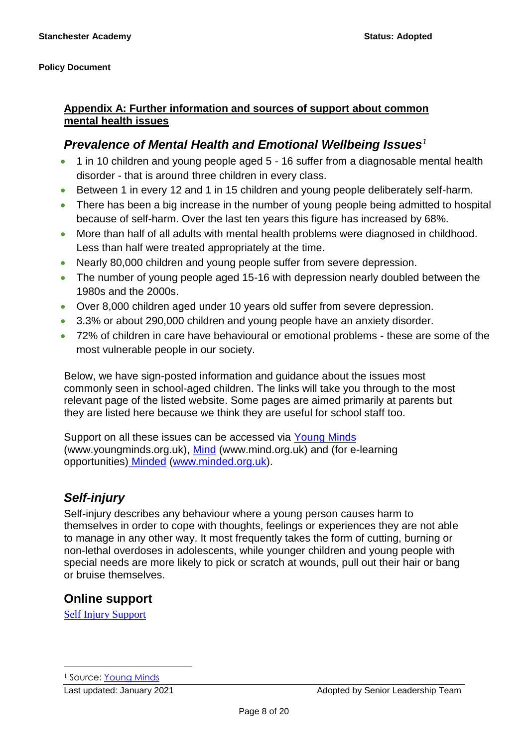### **Appendix A: Further information and sources of support about common mental health issues**

# *Prevalence of Mental Health and Emotional Wellbeing Issues<sup>1</sup>*

- 1 in 10 children and young people aged 5 16 suffer from a diagnosable mental health disorder - that is around three children in every class.
- Between 1 in every 12 and 1 in 15 children and young people deliberately self-harm.
- There has been a big increase in the number of young people being admitted to hospital because of self-harm. Over the last ten years this figure has increased by 68%.
- More than half of all adults with mental health problems were diagnosed in childhood. Less than half were treated appropriately at the time.
- Nearly 80,000 children and young people suffer from severe depression.
- The number of young people aged 15-16 with depression nearly doubled between the 1980s and the 2000s.
- Over 8,000 children aged under 10 years old suffer from severe depression.
- 3.3% or about 290,000 children and young people have an anxiety disorder.
- 72% of children in care have behavioural or emotional problems these are some of the most vulnerable people in our society.

Below, we have sign-posted information and guidance about the issues most commonly seen in school-aged children. The links will take you through to the most relevant page of the listed website. Some pages are aimed primarily at parents but they are listed here because we think they are useful for school staff too.

Support on all these issues can be accessed via Young Minds (www.youngminds.org.uk), [Mind](http://www.mind.org.uk/information-support/types-of-mental-health-problems/self-harm/#.VMxpXsbA67s) (www.mind.org.uk) and (for e-learning opportunities) [Minded](https://www.minded.org.uk/course/view.php?id=89) [\(www.minded.org.uk\)](http://www.minded.org.uk/).

# *Self-injury*

Self-injury describes any behaviour where a young person causes harm to themselves in order to cope with thoughts, feelings or experiences they are not able to manage in any other way. It most frequently takes the form of cutting, burning or non-lethal overdoses in adolescents, while younger children and young people with special needs are more likely to pick or scratch at wounds, pull out their hair or bang or bruise themselves.

# **Online support**

[Self Injury Support](https://www.selfinjurysupport.org.uk/)

 $\overline{a}$ 

<sup>1</sup> Source: [Young Minds](http://www.youngminds.org.uk/training_services/policy/mental_health_statistics)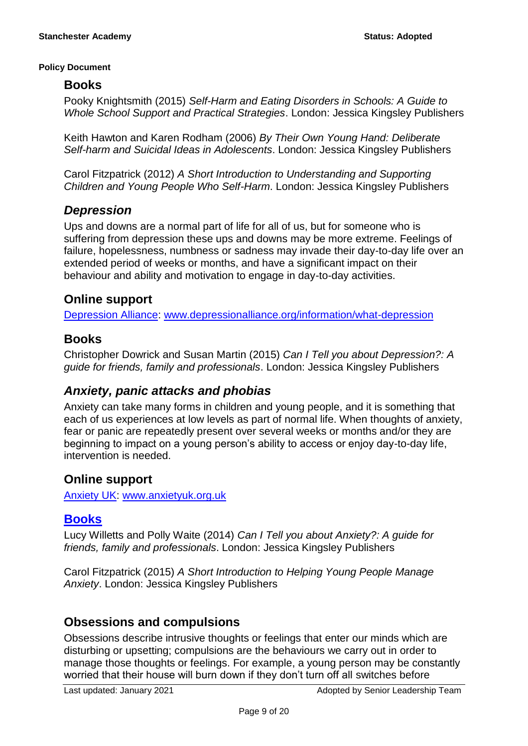### **Books**

Pooky Knightsmith (2015) *Self-Harm and Eating Disorders in Schools: A Guide to Whole School Support and Practical Strategies*. London: Jessica Kingsley Publishers

Keith Hawton and Karen Rodham (2006) *By Their Own Young Hand: Deliberate Self-harm and Suicidal Ideas in Adolescents*. London: Jessica Kingsley Publishers

Carol Fitzpatrick (2012) *A Short Introduction to Understanding and Supporting Children and Young People Who Self-Harm*. London: Jessica Kingsley Publishers

# *Depression*

Ups and downs are a normal part of life for all of us, but for someone who is suffering from depression these ups and downs may be more extreme. Feelings of failure, hopelessness, numbness or sadness may invade their day-to-day life over an extended period of weeks or months, and have a significant impact on their behaviour and ability and motivation to engage in day-to-day activities.

# **Online support**

[Depression Alliance: www.depressionalliance.org/information/what-depression](http://www.depressionalliance.org/information/what-depression)

# **Books**

Christopher Dowrick and Susan Martin (2015) *Can I Tell you about Depression?: A guide for friends, family and professionals*. London: Jessica Kingsley Publishers

# *Anxiety, panic attacks and phobias*

Anxiety can take many forms in children and young people, and it is something that each of us experiences at low levels as part of normal life. When thoughts of anxiety, fear or panic are repeatedly present over several weeks or months and/or they are beginning to impact on a young person's ability to access or enjoy day-to-day life, intervention is needed.

# **Online support**

[Anxiety UK:](https://www.anxietyuk.org.uk/) [www.anxietyuk.org.uk](http://www.anxietyuk.org.uk/)

# **Books**

Lucy Willetts and Polly Waite (2014) *Can I Tell you about Anxiety?: A guide for friends, family and professionals*. London: Jessica Kingsley Publishers

Carol Fitzpatrick (2015) *A Short Introduction to Helping Young People Manage Anxiety*. London: Jessica Kingsley Publishers

# **Obsessions and compulsions**

Obsessions describe intrusive thoughts or feelings that enter our minds which are disturbing or upsetting; compulsions are the behaviours we carry out in order to manage those thoughts or feelings. For example, a young person may be constantly worried that their house will burn down if they don't turn off all switches before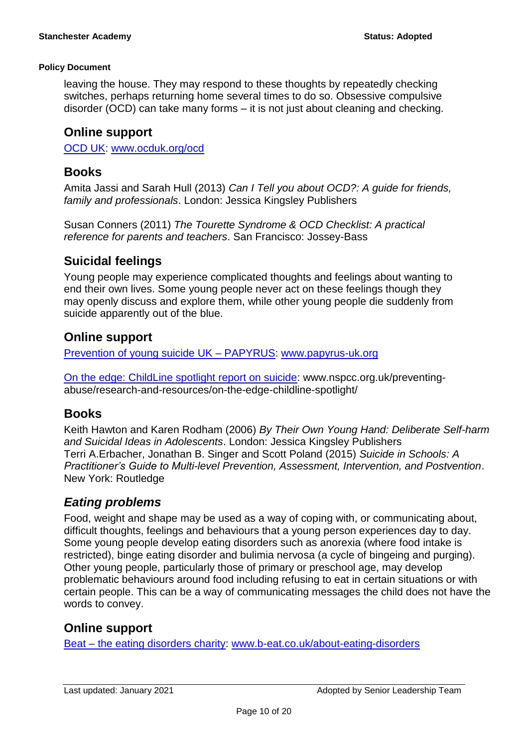leaving the house. They may respond to these thoughts by repeatedly checking switches, perhaps returning home several times to do so. Obsessive compulsive disorder (OCD) can take many forms – it is not just about cleaning and checking.

### **Online support**

[OCD UK: www.ocduk.org/ocd](http://www.ocduk.org/ocd)

### **Books**

Amita Jassi and Sarah Hull (2013) *Can I Tell you about OCD?: A guide for friends, family and professionals*. London: Jessica Kingsley Publishers

Susan Conners (2011) *The Tourette Syndrome & OCD Checklist: A practical reference for parents and teachers*. San Francisco: Jossey-Bass

# **Suicidal feelings**

Young people may experience complicated thoughts and feelings about wanting to end their own lives. Some young people never act on these feelings though they may openly discuss and explore them, while other young people die suddenly from suicide apparently out of the blue.

# **Online support**

Prevention of [young suicide UK –](https://www.papyrus-uk.org/) PAPYRUS: [www.papyrus-uk.org](http://www.papyrus-uk.org/)

[On the edge: ChildLine spotlight report on suicide:](http://www.nspcc.org.uk/preventing-abuse/research-and-resources/on-the-edge-childline-spotlight/) www.nspcc.org.uk/preventingabuse/research-and-resources/on-the-edge-childline-spotlight/

# **Books**

Keith Hawton and Karen Rodham (2006) *By Their Own Young Hand: Deliberate Self-harm and Suicidal Ideas in Adolescents*. London: Jessica Kingsley Publishers Terri A.Erbacher, Jonathan B. Singer and Scott Poland (2015) *Suicide in Schools: A Practitioner's Guide to Multi-level Prevention, Assessment, Intervention, and Postvention*. New York: Routledge

# *Eating problems*

Food, weight and shape may be used as a way of coping with, or communicating about, difficult thoughts, feelings and behaviours that a young person experiences day to day. Some young people develop eating disorders such as anorexia (where food intake is restricted), binge eating disorder and bulimia nervosa (a cycle of bingeing and purging). Other young people, particularly those of primary or preschool age, may develop problematic behaviours around food including refusing to eat in certain situations or with certain people. This can be a way of communicating messages the child does not have the words to convey.

# **Online support**

Beat – [the eating disorders charity:](http://www.b-eat.co.uk/get-help/about-eating-disorders/) [www.b-eat.co.uk/about-eating-disorders](http://www.b-eat.co.uk/about-eating-disorders)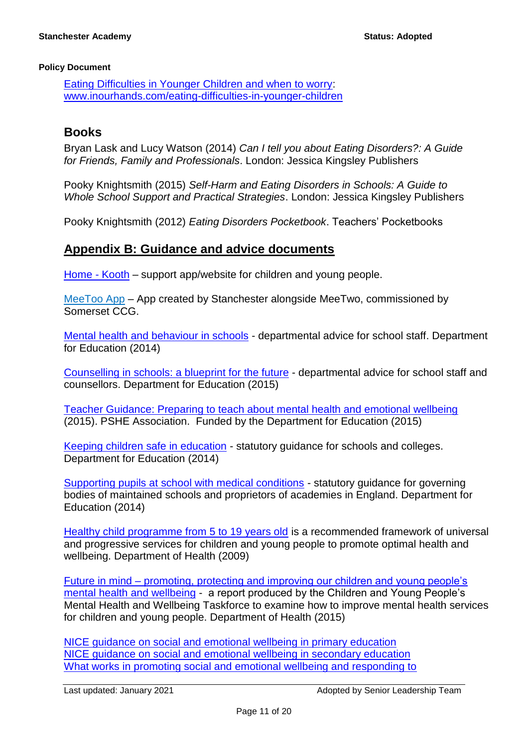[Eating Difficulties in Younger Children and when to worry:](http://www.inourhands.com/eating-difficulties-in-younger-children/) [www.inourhands.com/eating-difficulties-in-younger-children](http://www.inourhands.com/eating-difficulties-in-younger-children)

### **Books**

Bryan Lask and Lucy Watson (2014) *Can I tell you about Eating Disorders?: A Guide for Friends, Family and Professionals*. London: Jessica Kingsley Publishers

Pooky Knightsmith (2015) *Self-Harm and Eating Disorders in Schools: A Guide to Whole School Support and Practical Strategies*. London: Jessica Kingsley Publishers

Pooky Knightsmith (2012) *Eating Disorders Pocketbook*. Teachers' Pocketbooks

### **Appendix B: Guidance and advice documents**

[Home -](https://www.kooth.com/) Kooth – support app/website for children and young people.

MeeToo App – App created by Stanchester alongside MeeTwo, commissioned by Somerset CCG.

[Mental health and behaviour in schools](http://www.gov.uk/government/publications/mental-health-and-behaviour-in-schools--2) - departmental advice for school staff. Department for Education (2014)

[Counselling in schools: a blueprint for the future](https://www.gov.uk/government/publications/counselling-in-schools) - departmental advice for school staff and counsellors. Department for Education (2015)

[Teacher Guidance: Preparing to teach about mental health and emotional wellbeing](http://www.inourhands.com/wp-content/uploads/2015/03/Preparing-to-teach-about-mental-health-and-emotional-wellbeing-PSHE-Association-March-2015-FINAL.pdf) (2015). PSHE Association. Funded by the Department for Education (2015)

[Keeping children safe in education](http://www.gov.uk/government/uploads/system/uploads/attachment_data/file/372753/Keeping%20_children_safe_in_education.pdf) - statutory guidance for schools and colleges. Department for Education (2014)

[Supporting pupils at school with medical conditions](http://www.gov.uk/government/uploads/system/uploads/attachment_data/file/349435/Statutor%20y_guidance_on_supporting_pupils_at_school_with_medical_conditions.pdf) - statutory guidance for governing bodies of maintained schools and proprietors of academies in England. Department for Education (2014)

[Healthy child programme from 5 to 19 years old](https://www.gov.uk/government/publications/healthy-child-programme-5-to-19-years-old) is a recommended framework of universal and progressive services for children and young people to promote optimal health and wellbeing. Department of Health (2009)

Future in mind – [promoting, protecting and improving our children and young people's](https://www.gov.uk/government/uploads/system/uploads/attachment_data/file/414024/Childrens_Mental_Health.pdf)  [mental health and wellbeing](https://www.gov.uk/government/uploads/system/uploads/attachment_data/file/414024/Childrens_Mental_Health.pdf) - a report produced by the Children and Young People's Mental Health and Wellbeing Taskforce to examine how to improve mental health services for children and young people. Department of Health (2015)

[NICE guidance on social and emotional wellbeing in primary education](https://www.nice.org.uk/guidance/ph12) [NICE guidance on social and emotional wellbeing in secondary education](http://www.nice.org.uk/guidance/ph20)  [What works in promoting social and emotional wellbeing and responding to](http://www.ncb.org.uk/areas-of-activity/education-and-learning/partnership-for-well-being-and-mental-health-in-schools/what-works-guidance-for-schools)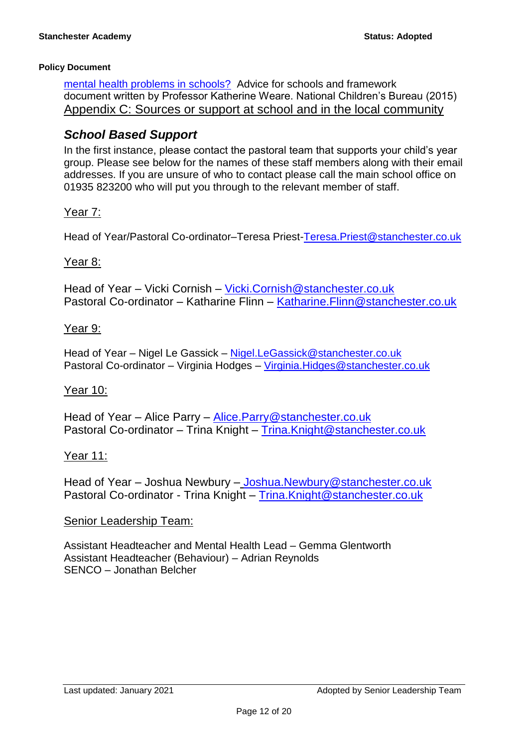[mental health problems in schools?](http://www.ncb.org.uk/areas-of-activity/education-and-learning/partnership-for-well-being-and-mental-health-in-schools/what-works-guidance-for-schools) Advice for schools and framework document written by Professor Katherine Weare. National Children's Bureau (2015) Appendix C: Sources or support at school and in the local community

# *School Based Support*

In the first instance, please contact the pastoral team that supports your child's year group. Please see below for the names of these staff members along with their email addresses. If you are unsure of who to contact please call the main school office on 01935 823200 who will put you through to the relevant member of staff.

### Year 7:

Head of Year/Pastoral Co-ordinator–Teresa Priest[-Teresa.Priest@stanchester.co.uk](mailto:Teresa.Priest@stanchester.co.uk)

### Year 8:

Head of Year – Vicki Cornish – [Vicki.Cornish@stanchester.co.uk](mailto:Vicki.Cornish@stanchester.co.uk) Pastoral Co-ordinator – Katharine Flinn – [Katharine.Flinn@stanchester.co.uk](mailto:Katharine.Flinn@stanchester.co.uk)

### Year 9:

Head of Year – Nigel Le Gassick – [Nigel.LeGassick@stanchester.co.uk](mailto:Nigel.LeGassick@stanchester.co.uk) Pastoral Co-ordinator – Virginia Hodges – [Virginia.Hidges@stanchester.co.uk](mailto:Virginia.Hidges@stanchester.co.uk)

### Year 10:

Head of Year – Alice Parry – [Alice.Parry@stanchester.co.uk](mailto:Alice.Parry@stanchester.co.uk) Pastoral Co-ordinator – Trina Knight – [Trina.Knight@stanchester.co.uk](mailto:Trina.Knight@stanchester.co.uk)

### Year 11:

Head of Year – Joshua Newbury – [Joshua.Newbury@stanchester.co.uk](mailto:Joshua.Newbury@stanchester.co.uk) Pastoral Co-ordinator - Trina Knight – [Trina.Knight@stanchester.co.uk](mailto:Trina.Knight@stanchester.co.uk)

### Senior Leadership Team:

Assistant Headteacher and Mental Health Lead – Gemma Glentworth Assistant Headteacher (Behaviour) – Adrian Reynolds SENCO – Jonathan Belcher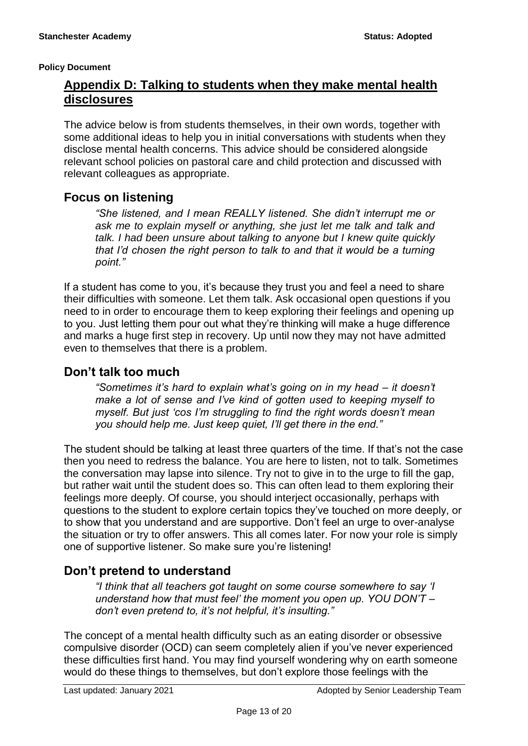# **Appendix D: Talking to students when they make mental health disclosures**

The advice below is from students themselves, in their own words, together with some additional ideas to help you in initial conversations with students when they disclose mental health concerns. This advice should be considered alongside relevant school policies on pastoral care and child protection and discussed with relevant colleagues as appropriate.

# **Focus on listening**

*"She listened, and I mean REALLY listened. She didn't interrupt me or ask me to explain myself or anything, she just let me talk and talk and talk. I had been unsure about talking to anyone but I knew quite quickly that I'd chosen the right person to talk to and that it would be a turning point."* 

If a student has come to you, it's because they trust you and feel a need to share their difficulties with someone. Let them talk. Ask occasional open questions if you need to in order to encourage them to keep exploring their feelings and opening up to you. Just letting them pour out what they're thinking will make a huge difference and marks a huge first step in recovery. Up until now they may not have admitted even to themselves that there is a problem.

### **Don't talk too much**

*"Sometimes it's hard to explain what's going on in my head – it doesn't make a lot of sense and I've kind of gotten used to keeping myself to myself. But just 'cos I'm struggling to find the right words doesn't mean you should help me. Just keep quiet, I'll get there in the end."* 

The student should be talking at least three quarters of the time. If that's not the case then you need to redress the balance. You are here to listen, not to talk. Sometimes the conversation may lapse into silence. Try not to give in to the urge to fill the gap, but rather wait until the student does so. This can often lead to them exploring their feelings more deeply. Of course, you should interject occasionally, perhaps with questions to the student to explore certain topics they've touched on more deeply, or to show that you understand and are supportive. Don't feel an urge to over-analyse the situation or try to offer answers. This all comes later. For now your role is simply one of supportive listener. So make sure you're listening!

# **Don't pretend to understand**

*"I think that all teachers got taught on some course somewhere to say 'I understand how that must feel' the moment you open up. YOU DON'T – don't even pretend to, it's not helpful, it's insulting."* 

The concept of a mental health difficulty such as an eating disorder or obsessive compulsive disorder (OCD) can seem completely alien if you've never experienced these difficulties first hand. You may find yourself wondering why on earth someone would do these things to themselves, but don't explore those feelings with the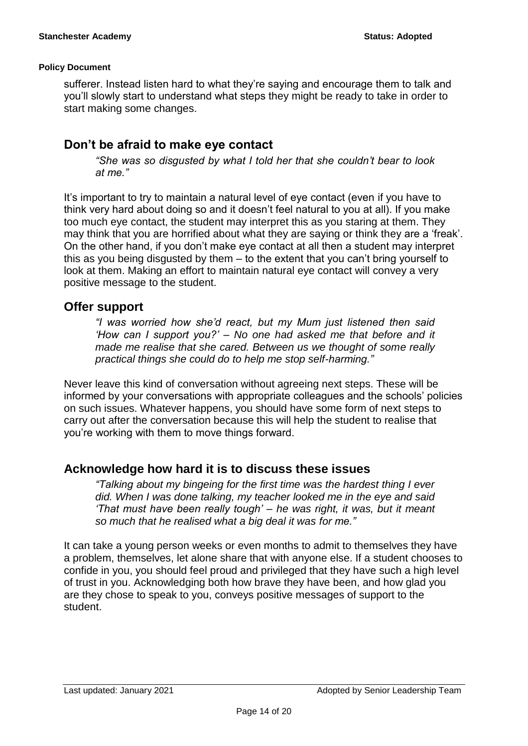sufferer. Instead listen hard to what they're saying and encourage them to talk and you'll slowly start to understand what steps they might be ready to take in order to start making some changes.

# **Don't be afraid to make eye contact**

*"She was so disgusted by what I told her that she couldn't bear to look at me."* 

It's important to try to maintain a natural level of eye contact (even if you have to think very hard about doing so and it doesn't feel natural to you at all). If you make too much eye contact, the student may interpret this as you staring at them. They may think that you are horrified about what they are saying or think they are a 'freak'. On the other hand, if you don't make eye contact at all then a student may interpret this as you being disgusted by them – to the extent that you can't bring yourself to look at them. Making an effort to maintain natural eye contact will convey a very positive message to the student.

# **Offer support**

*"I was worried how she'd react, but my Mum just listened then said 'How can I support you?' – No one had asked me that before and it made me realise that she cared. Between us we thought of some really practical things she could do to help me stop self-harming."* 

Never leave this kind of conversation without agreeing next steps. These will be informed by your conversations with appropriate colleagues and the schools' policies on such issues. Whatever happens, you should have some form of next steps to carry out after the conversation because this will help the student to realise that you're working with them to move things forward.

# **Acknowledge how hard it is to discuss these issues**

*"Talking about my bingeing for the first time was the hardest thing I ever did. When I was done talking, my teacher looked me in the eye and said 'That must have been really tough' – he was right, it was, but it meant so much that he realised what a big deal it was for me."* 

It can take a young person weeks or even months to admit to themselves they have a problem, themselves, let alone share that with anyone else. If a student chooses to confide in you, you should feel proud and privileged that they have such a high level of trust in you. Acknowledging both how brave they have been, and how glad you are they chose to speak to you, conveys positive messages of support to the student.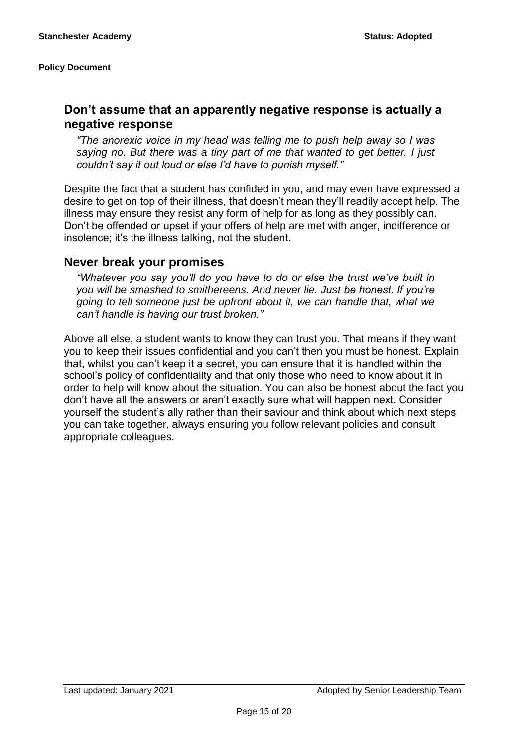# **Don't assume that an apparently negative response is actually a negative response**

*"The anorexic voice in my head was telling me to push help away so I was saying no. But there was a tiny part of me that wanted to get better. I just couldn't say it out loud or else I'd have to punish myself."* 

Despite the fact that a student has confided in you, and may even have expressed a desire to get on top of their illness, that doesn't mean they'll readily accept help. The illness may ensure they resist any form of help for as long as they possibly can. Don't be offended or upset if your offers of help are met with anger, indifference or insolence; it's the illness talking, not the student.

### **Never break your promises**

*"Whatever you say you'll do you have to do or else the trust we've built in you will be smashed to smithereens. And never lie. Just be honest. If you're going to tell someone just be upfront about it, we can handle that, what we can't handle is having our trust broken."* 

Above all else, a student wants to know they can trust you. That means if they want you to keep their issues confidential and you can't then you must be honest. Explain that, whilst you can't keep it a secret, you can ensure that it is handled within the school's policy of confidentiality and that only those who need to know about it in order to help will know about the situation. You can also be honest about the fact you don't have all the answers or aren't exactly sure what will happen next. Consider yourself the student's ally rather than their saviour and think about which next steps you can take together, always ensuring you follow relevant policies and consult appropriate colleagues.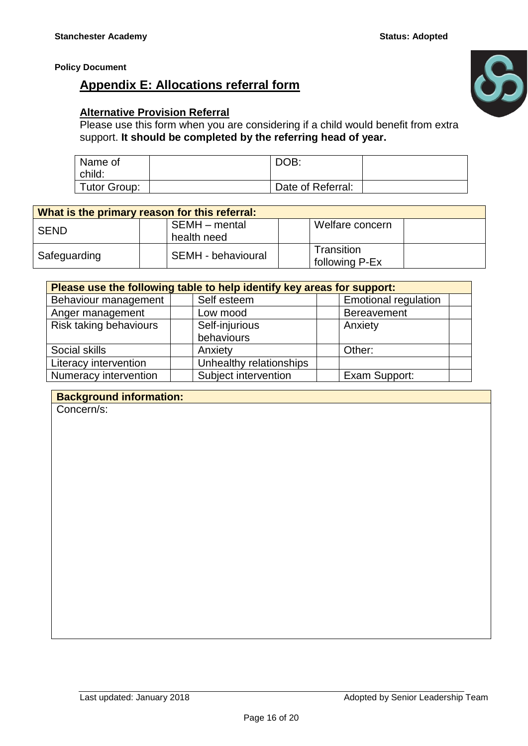# **Appendix E: Allocations referral form**



### **Alternative Provision Referral**

Please use this form when you are considering if a child would benefit from extra support. **It should be completed by the referring head of year.**

| Name of<br>child:   | DOB:              |  |
|---------------------|-------------------|--|
| <b>Tutor Group:</b> | Date of Referral: |  |

| What is the primary reason for this referral: |                              |                              |  |  |  |  |  |
|-----------------------------------------------|------------------------------|------------------------------|--|--|--|--|--|
| l SEND                                        | SEMH - mental<br>health need | Welfare concern              |  |  |  |  |  |
| Safeguarding                                  | SEMH - behavioural           | Transition<br>following P-Ex |  |  |  |  |  |

| Please use the following table to help identify key areas for support: |                         |                             |  |  |  |  |  |
|------------------------------------------------------------------------|-------------------------|-----------------------------|--|--|--|--|--|
| Behaviour management                                                   | Self esteem             | <b>Emotional regulation</b> |  |  |  |  |  |
| Anger management                                                       | Low mood                | <b>Bereavement</b>          |  |  |  |  |  |
| Risk taking behaviours                                                 | Self-injurious          | Anxiety                     |  |  |  |  |  |
|                                                                        | behaviours              |                             |  |  |  |  |  |
| Social skills                                                          | Anxiety                 | Other:                      |  |  |  |  |  |
| Literacy intervention                                                  | Unhealthy relationships |                             |  |  |  |  |  |
| Numeracy intervention                                                  | Subject intervention    | Exam Support:               |  |  |  |  |  |

### **Background information:**

Concern/s: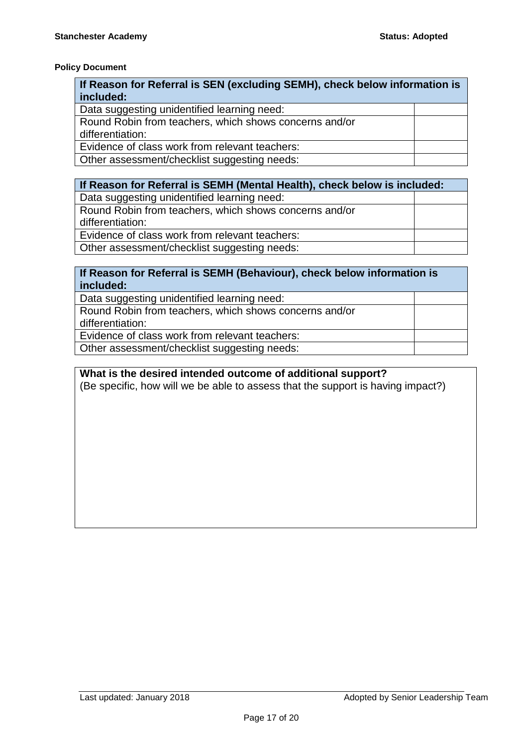| If Reason for Referral is SEN (excluding SEMH), check below information is |  |  |  |  |  |  |
|----------------------------------------------------------------------------|--|--|--|--|--|--|
| included:                                                                  |  |  |  |  |  |  |
| Data suggesting unidentified learning need:                                |  |  |  |  |  |  |
| Round Robin from teachers, which shows concerns and/or                     |  |  |  |  |  |  |
| differentiation:                                                           |  |  |  |  |  |  |
| Evidence of class work from relevant teachers:                             |  |  |  |  |  |  |
| Other assessment/checklist suggesting needs:                               |  |  |  |  |  |  |

#### **If Reason for Referral is SEMH (Mental Health), check below is included:** Data suggesting unidentified learning need:

| bala buggobinig umuchlinica icaming noca.              |  |
|--------------------------------------------------------|--|
| Round Robin from teachers, which shows concerns and/or |  |
| differentiation:                                       |  |
| Evidence of class work from relevant teachers:         |  |
| Other assessment/checklist suggesting needs:           |  |

### **If Reason for Referral is SEMH (Behaviour), check below information is included:**

Data suggesting unidentified learning need:

| Round Robin from teachers, which shows concerns and/or |  |
|--------------------------------------------------------|--|
| differentiation:                                       |  |
| Evidence of class work from relevant teachers:         |  |
|                                                        |  |

Other assessment/checklist suggesting needs:

### **What is the desired intended outcome of additional support?**  (Be specific, how will we be able to assess that the support is having impact?)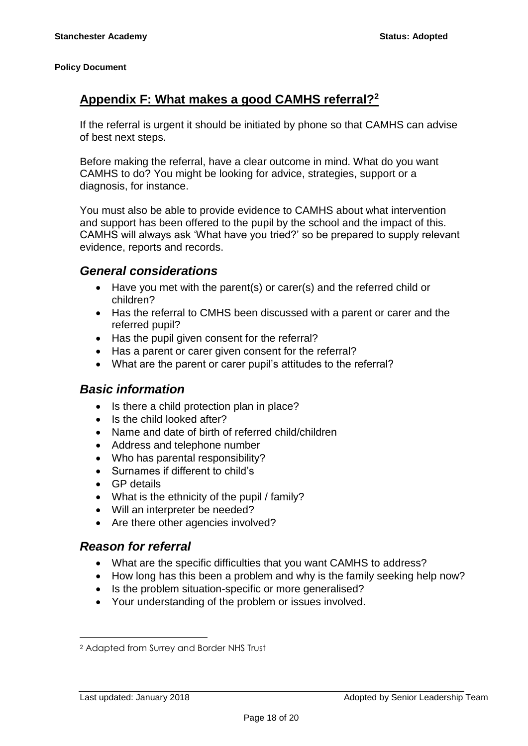# **Appendix F: What makes a good CAMHS referral?<sup>2</sup>**

If the referral is urgent it should be initiated by phone so that CAMHS can advise of best next steps.

Before making the referral, have a clear outcome in mind. What do you want CAMHS to do? You might be looking for advice, strategies, support or a diagnosis, for instance.

You must also be able to provide evidence to CAMHS about what intervention and support has been offered to the pupil by the school and the impact of this. CAMHS will always ask 'What have you tried?' so be prepared to supply relevant evidence, reports and records.

### *General considerations*

- Have you met with the parent(s) or carer(s) and the referred child or children?
- Has the referral to CMHS been discussed with a parent or carer and the referred pupil?
- Has the pupil given consent for the referral?
- Has a parent or carer given consent for the referral?
- What are the parent or carer pupil's attitudes to the referral?

### *Basic information*

- Is there a child protection plan in place?
- Is the child looked after?
- Name and date of birth of referred child/children
- Address and telephone number
- Who has parental responsibility?
- Surnames if different to child's
- GP details
- What is the ethnicity of the pupil / family?
- Will an interpreter be needed?
- Are there other agencies involved?

### *Reason for referral*

- What are the specific difficulties that you want CAMHS to address?
- How long has this been a problem and why is the family seeking help now?
- Is the problem situation-specific or more generalised?
- Your understanding of the problem or issues involved.

1

<sup>2</sup> Adapted from Surrey and Border NHS Trust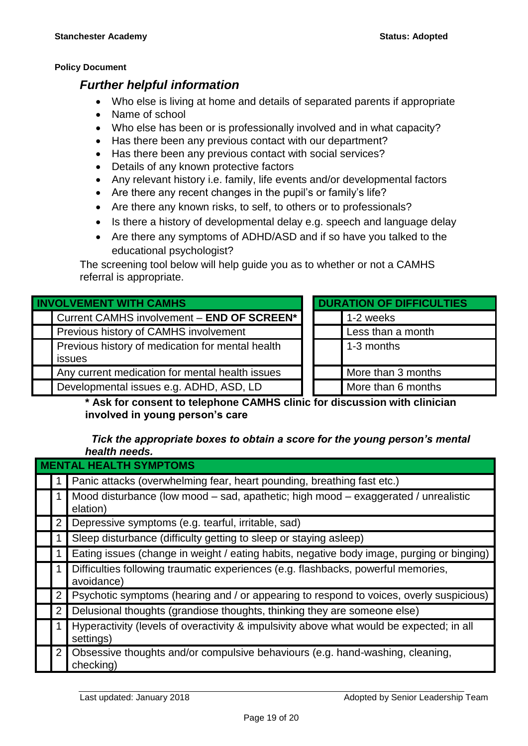### *Further helpful information*

- Who else is living at home and details of separated parents if appropriate
- Name of school
- Who else has been or is professionally involved and in what capacity?
- Has there been any previous contact with our department?
- Has there been any previous contact with social services?
- Details of any known protective factors
- Any relevant history i.e. family, life events and/or developmental factors
- Are there any recent changes in the pupil's or family's life?
- Are there any known risks, to self, to others or to professionals?
- Is there a history of developmental delay e.g. speech and language delay
- Are there any symptoms of ADHD/ASD and if so have you talked to the educational psychologist?

The screening tool below will help guide you as to whether or not a CAMHS referral is appropriate.

| <b>INVOLVEMENT WITH CAMHS</b>                              |  |  | <b>DURATION OF DIFFICULTIES</b> |  |  |
|------------------------------------------------------------|--|--|---------------------------------|--|--|
| Current CAMHS involvement - END OF SCREEN*                 |  |  | 1-2 weeks                       |  |  |
| Previous history of CAMHS involvement                      |  |  | Less than a month               |  |  |
| Previous history of medication for mental health<br>issues |  |  | 1-3 months                      |  |  |
| Any current medication for mental health issues            |  |  | More than 3 months              |  |  |
| Developmental issues e.g. ADHD, ASD, LD                    |  |  | More than 6 months              |  |  |

**\* Ask for consent to telephone CAMHS clinic for discussion with clinician involved in young person's care**

### *Tick the appropriate boxes to obtain a score for the young person's mental health needs.*

| <b>TAL HEALTH SYMPTOMS</b> |                                                                                                       |  |  |  |  |  |  |
|----------------------------|-------------------------------------------------------------------------------------------------------|--|--|--|--|--|--|
|                            | Panic attacks (overwhelming fear, heart pounding, breathing fast etc.)                                |  |  |  |  |  |  |
|                            | Mood disturbance (low mood – sad, apathetic; high mood – exaggerated / unrealistic<br>elation)        |  |  |  |  |  |  |
|                            | Depressive symptoms (e.g. tearful, irritable, sad)                                                    |  |  |  |  |  |  |
|                            | Sleep disturbance (difficulty getting to sleep or staying asleep)                                     |  |  |  |  |  |  |
|                            | Eating issues (change in weight / eating habits, negative body image, purging or binging)             |  |  |  |  |  |  |
|                            | Difficulties following traumatic experiences (e.g. flashbacks, powerful memories,<br>avoidance)       |  |  |  |  |  |  |
|                            | Psychotic symptoms (hearing and / or appearing to respond to voices, overly suspicious)               |  |  |  |  |  |  |
| $\mathbf{2}^{\mathsf{-}}$  | Delusional thoughts (grandiose thoughts, thinking they are someone else)                              |  |  |  |  |  |  |
|                            | Hyperactivity (levels of overactivity & impulsivity above what would be expected; in all<br>settings) |  |  |  |  |  |  |
| $\overline{2}$             | Obsessive thoughts and/or compulsive behaviours (e.g. hand-washing, cleaning,<br>checking)            |  |  |  |  |  |  |